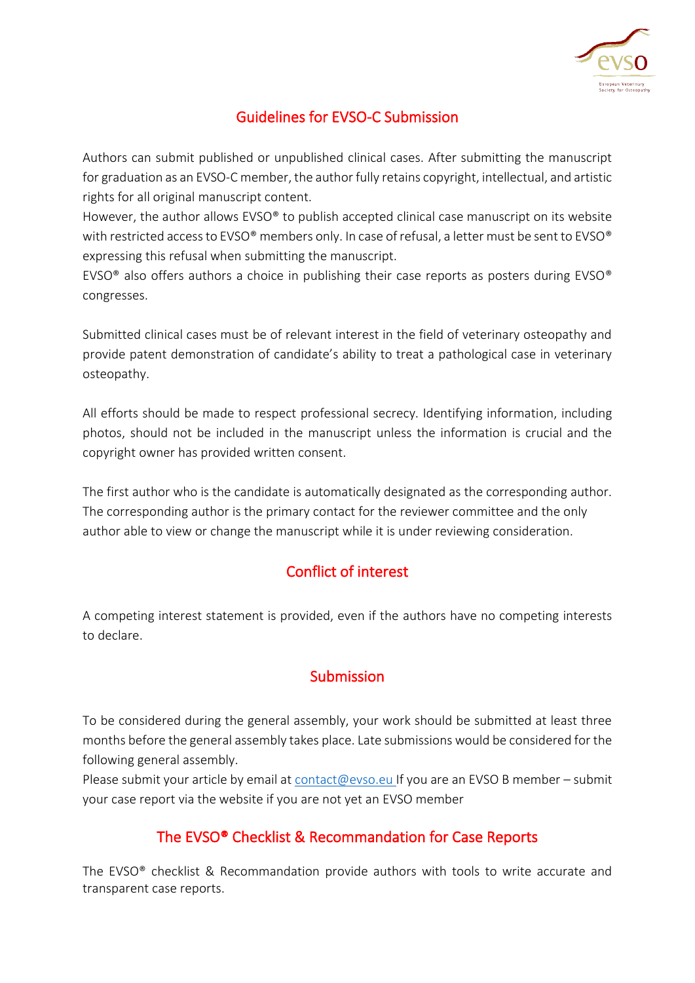

## Guidelines for EVSO-C Submission

Authors can submit published or unpublished clinical cases. After submitting the manuscript for graduation as an EVSO-C member, the author fully retains copyright, intellectual, and artistic rights for all original manuscript content.

However, the author allows EVSO® to publish accepted clinical case manuscript on its website with restricted access to EVSO® members only. In case of refusal, a letter must be sent to EVSO® expressing this refusal when submitting the manuscript.

EVSO<sup>®</sup> also offers authors a choice in publishing their case reports as posters during EVSO<sup>®</sup> congresses.

Submitted clinical cases must be of relevant interest in the field of veterinary osteopathy and provide patent demonstration of candidate's ability to treat a pathological case in veterinary osteopathy.

All efforts should be made to respect professional secrecy. Identifying information, including photos, should not be included in the manuscript unless the information is crucial and the copyright owner has provided written consent.

The first author who is the candidate is automatically designated as the corresponding author. The corresponding author is the primary contact for the reviewer committee and the only author able to view or change the manuscript while it is under reviewing consideration.

# Conflict of interest

A competing interest statement is provided, even if the authors have no competing interests to declare.

# Submission

To be considered during the general assembly, your work should be submitted at least three months before the general assembly takes place. Late submissions would be considered for the following general assembly.

Please submit your article by email at [contact@evso.eu](mailto:contact@evso.eu) If you are an EVSO B member – submit your case report via the website if you are not yet an EVSO member

#### The EVSO® Checklist & Recommandation for Case Reports

The EVSO® checklist & Recommandation provide authors with tools to write accurate and transparent case reports.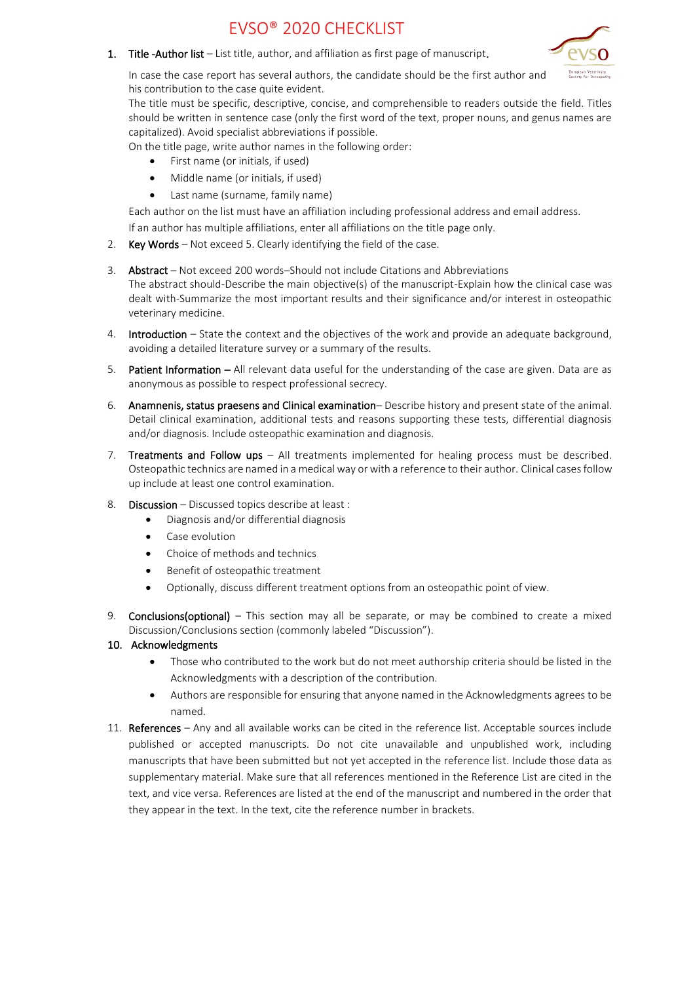# EVSO® 2020 CHECKLIST



1. Title - Author list – List title, author, and affiliation as first page of manuscript.

In case the case report has several authors, the candidate should be the first author and his contribution to the case quite evident.

The title must be specific, descriptive, concise, and comprehensible to readers outside the field. Titles should be written in sentence case (only the first word of the text, proper nouns, and genus names are capitalized). Avoid specialist abbreviations if possible.

On the title page, write author names in the following order:

- First name (or initials, if used)
- Middle name (or initials, if used)
- Last name (surname, family name)

Each author on the list must have an affiliation including professional address and email address.

If an author has multiple affiliations, enter all affiliations on the title page only.

2. Key Words – Not exceed 5. Clearly identifying the field of the case.

#### 3. Abstract – Not exceed 200 words–Should not include Citations and Abbreviations The abstract should-Describe the main objective(s) of the manuscript-Explain how the clinical case was dealt with-Summarize the most important results and their significance and/or interest in osteopathic veterinary medicine.

- 4. Introduction State the context and the objectives of the work and provide an adequate background, avoiding a detailed literature survey or a summary of the results.
- 5. Patient Information All relevant data useful for the understanding of the case are given. Data are as anonymous as possible to respect professional secrecy.
- 6. Anamnenis, status praesens and Clinical examination– Describe history and present state of the animal. Detail clinical examination, additional tests and reasons supporting these tests, differential diagnosis and/or diagnosis. Include osteopathic examination and diagnosis.
- 7. Treatments and Follow ups All treatments implemented for healing process must be described. Osteopathic technics are named in a medical way or with a reference to their author. Clinical cases follow up include at least one control examination.
- 8. **Discussion** Discussed topics describe at least :
	- Diagnosis and/or differential diagnosis
	- Case evolution
	- Choice of methods and technics
	- Benefit of osteopathic treatment
	- Optionally, discuss different treatment options from an osteopathic point of view.
- 9. Conclusions(optional) This section may all be separate, or may be combined to create a mixed Discussion/Conclusions section (commonly labeled "Discussion").

#### 10. Acknowledgments

- Those who contributed to the work but do not meet authorship criteria should be listed in the Acknowledgments with a description of the contribution.
- Authors are responsible for ensuring that anyone named in the Acknowledgments agrees to be named.
- 11. References Any and all available works can be cited in the reference list. Acceptable sources include published or accepted manuscripts. Do not cite unavailable and unpublished work, including manuscripts that have been submitted but not yet accepted in the reference list. Include those data as supplementary material. Make sure that all references mentioned in the Reference List are cited in the text, and vice versa. References are listed at the end of the manuscript and numbered in the order that they appear in the text. In the text, cite the reference number in brackets.